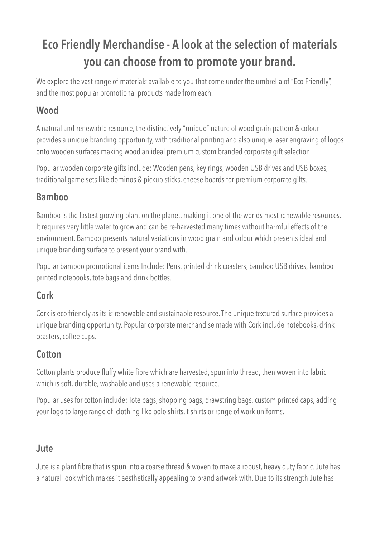# **Eco Friendly Merchandise - A look at the selection of materials you can choose from to promote your brand.**

We explore the vast range of materials available to you that come under the umbrella of "Eco Friendly", and the most popular promotional products made from each.

### **Wood**

A natural and renewable resource, the distinctively "unique" nature of wood grain pattern & colour provides a unique branding opportunity, with traditional printing and also unique laser engraving of logos onto wooden surfaces making wood an ideal premium custom branded corporate gift selection.

Popular wooden corporate gifts include: Wooden pens, key rings, wooden USB drives and USB boxes, traditional game sets like dominos & pickup sticks, cheese boards for premium corporate gifts.

#### **Bamboo**

Bamboo is the fastest growing plant on the planet, making it one of the worlds most renewable resources. It requires very little water to grow and can be re-harvested many times without harmful effects of the environment. Bamboo presents natural variations in wood grain and colour which presents ideal and unique branding surface to present your brand with.

Popular bamboo promotional items Include: Pens, printed drink coasters, bamboo USB drives, bamboo printed notebooks, tote bags and drink bottles.

#### **Cork**

Cork is eco friendly as its is renewable and sustainable resource. The unique textured surface provides a unique branding opportunity. Popular corporate merchandise made with Cork include notebooks, drink coasters, coffee cups.

## **Cotton**

Cotton plants produce fluffy white fibre which are harvested, spun into thread, then woven into fabric which is soft, durable, washable and uses a renewable resource.

Popular uses for cotton include: Tote bags, shopping bags, drawstring bags, custom printed caps, adding your logo to large range of clothing like polo shirts, t-shirts or range of work uniforms.

#### **Jute**

Jute is a plant fibre that is spun into a coarse thread & woven to make a robust, heavy duty fabric. Jute has a natural look which makes it aesthetically appealing to brand artwork with. Due to its strength Jute has